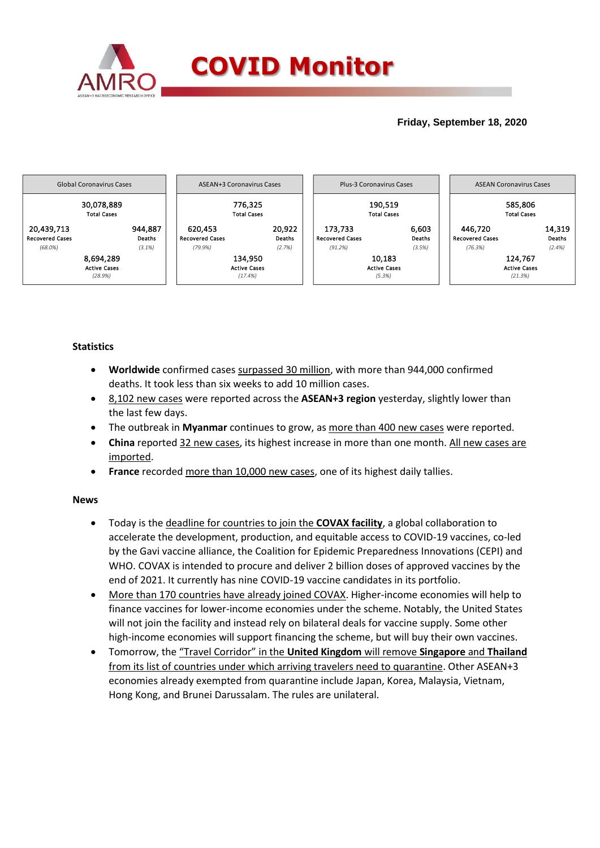

## **Friday, September 18, 2020**



## **Statistics**

- **Worldwide** confirmed cases surpassed 30 million, with more than 944,000 confirmed deaths. It took less than six weeks to add 10 million cases.
- 8,102 new cases were reported across the **ASEAN+3 region** yesterday, slightly lower than the last few days.
- The outbreak in **Myanmar** continues to grow, as more than 400 new cases were reported.
- **China** reported 32 new cases, its highest increase in more than one month. All new cases are imported.
- **France** recorded more than 10,000 new cases, one of its highest daily tallies.

## **News**

- Today is the deadline for countries to join the **COVAX facility**, a global collaboration to accelerate the development, production, and equitable access to COVID-19 vaccines, co-led by the Gavi vaccine alliance, the Coalition for Epidemic Preparedness Innovations (CEPI) and WHO. COVAX is intended to procure and deliver 2 billion doses of approved vaccines by the end of 2021. It currently has nine COVID-19 vaccine candidates in its portfolio.
- More than 170 countries have already joined COVAX. Higher-income economies will help to finance vaccines for lower-income economies under the scheme. Notably, the United States will not join the facility and instead rely on bilateral deals for vaccine supply. Some other high-income economies will support financing the scheme, but will buy their own vaccines.
- Tomorrow, the "Travel Corridor" in the **United Kingdom** will remove **Singapore** and **Thailand** from its list of countries under which arriving travelers need to quarantine. Other ASEAN+3 economies already exempted from quarantine include Japan, Korea, Malaysia, Vietnam, Hong Kong, and Brunei Darussalam. The rules are unilateral.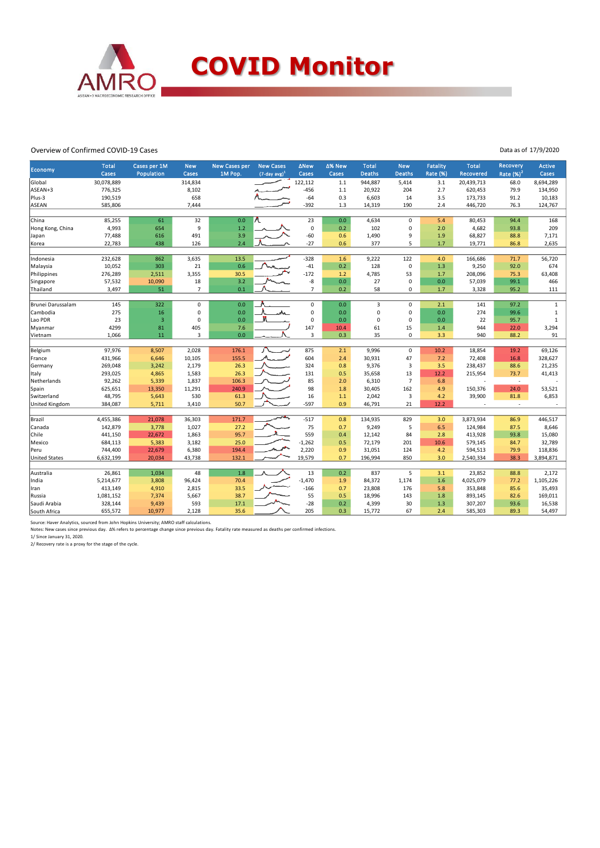

## Overview of Confirmed COVID-19 Cases

Data as of 17/9/2020

| <b>Economy</b>       | <b>Total</b> | Cases per 1M   | <b>New</b>            | <b>New Cases per</b> | <b>New Cases</b>   | <b>ANew</b>    | ∆% New | <b>Total</b>   | <b>New</b>              | <b>Fatality</b> | <b>Total</b> | <b>Recovery</b> | <b>Active</b> |
|----------------------|--------------|----------------|-----------------------|----------------------|--------------------|----------------|--------|----------------|-------------------------|-----------------|--------------|-----------------|---------------|
|                      | Cases        | Population     | Cases                 | 1M Pop.              | $(7$ -day avg) $1$ | Cases          | Cases  | <b>Deaths</b>  | <b>Deaths</b>           | Rate (%)        | Recovered    | Rate $(%)2$     | Cases         |
| Global               | 30,078,889   |                | 314,834               |                      |                    | 122,112        | $1.1$  | 944,887        | 5,414                   | 3.1             | 20,439,713   | 68.0            | 8,694,289     |
| ASEAN+3              | 776,325      |                | 8,102                 |                      |                    | $-456$         | $1.1$  | 20,922         | 204                     | 2.7             | 620,453      | 79.9            | 134,950       |
| Plus-3               | 190,519      |                | 658                   |                      |                    | $-64$          | 0.3    | 6,603          | 14                      | 3.5             | 173,733      | 91.2            | 10,183        |
| ASEAN                | 585,806      |                | 7,444                 |                      |                    | -392           | 1.3    | 14,319         | 190                     | 2.4             | 446,720      | 76.3            | 124,767       |
| China                | 85,255       | 61             | 32                    | 0.0                  |                    | 23             | 0.0    | 4,634          | $\mathbf 0$             | 5.4             | 80,453       | 94.4            | 168           |
| Hong Kong, China     | 4,993        | 654            | 9                     | 1.2                  |                    | $\mathbf 0$    | 0.2    | 102            | $\mathbf 0$             | 2.0             | 4,682        | 93.8            | 209           |
| Japan                | 77,488       | 616            | 491                   | 3.9                  |                    | $-60$          | 0.6    | 1,490          | 9                       | 1.9             | 68,827       | 88.8            | 7,171         |
| Korea                | 22,783       | 438            | 126                   | 2.4                  |                    | $-27$          | 0.6    | 377            | 5                       | 1.7             | 19,771       | 86.8            | 2,635         |
|                      |              |                |                       |                      |                    |                |        |                |                         |                 |              |                 |               |
| Indonesia            | 232,628      | 862            | 3,635                 | 13.5                 |                    | $-328$         | 1.6    | 9,222          | 122                     | 4.0             | 166,686      | 71.7            | 56,720        |
| Malaysia             | 10,052       | 303            | 21                    | 0.6 <sub>0</sub>     |                    | $-41$          | 0.2    | 128            | $\mathbf 0$             | 1.3             | 9,250        | 92.0            | 674           |
| Philippines          | 276,289      | 2,511          | 3,355                 | 30.5                 |                    | $-172$         | 1.2    | 4,785          | 53                      | 1.7             | 208,096      | 75.3            | 63,408        |
| Singapore            | 57,532       | 10,090         | 18                    | 3.2                  |                    | -8             | 0.0    | 27             | $\mathbf 0$             | 0.0             | 57,039       | 99.1            | 466           |
| Thailand             | 3,497        | 51             | $\overline{7}$        | 0.1                  |                    | $\overline{7}$ | 0.2    | 58             | $\mathbf 0$             | 1.7             | 3,328        | 95.2            | 111           |
| Brunei Darussalam    | 145          | 322            | $\mathbf 0$           | 0.0                  |                    | 0              | 0.0    | $\overline{3}$ | $\mathbf 0$             | 2.1             | 141          | 97.2            | $\mathbf{1}$  |
|                      |              |                |                       |                      |                    |                |        |                | $\mathbf 0$             |                 |              |                 |               |
| Cambodia             | 275          | 16             | $\mathbf 0$           | 0.0                  |                    | 0              | 0.0    | $\mathbf 0$    |                         | 0.0             | 274          | 99.6            | $\mathbf{1}$  |
| Lao PDR              | 23           | $\overline{3}$ | $\mathbf 0$           | 0.0                  |                    | 0              | 0.0    | 0              | $\mathbf 0$             | 0.0             | 22           | 95.7            | $\mathbf{1}$  |
| Myanmar              | 4299         | 81             | 405<br>$\overline{3}$ | 7.6                  |                    | 147            | 10.4   | 61             | 15<br>$\mathbf 0$       | 1.4             | 944          | 22.0            | 3,294         |
| Vietnam              | 1,066        | 11             |                       | 0.0                  |                    | 3              | 0.3    | 35             |                         | 3.3             | 940          | 88.2            | 91            |
| Belgium              | 97,976       | 8,507          | 2,028                 | 176.1                |                    | 875            | 2.1    | 9,996          | $\mathsf 0$             | 10.2            | 18,854       | 19.2            | 69,126        |
| France               | 431,966      | 6,646          | 10,105                | 155.5                |                    | 604            | 2.4    | 30,931         | 47                      | 7.2             | 72,408       | 16.8            | 328,627       |
| Germany              | 269,048      | 3,242          | 2,179                 | 26.3                 |                    | 324            | 0.8    | 9,376          | $\overline{\mathbf{3}}$ | 3.5             | 238,437      | 88.6            | 21,235        |
| Italy                | 293,025      | 4,865          | 1,583                 | 26.3                 |                    | 131            | 0.5    | 35,658         | 13                      | 12.2            | 215,954      | 73.7            | 41,413        |
| Netherlands          | 92,262       | 5,339          | 1,837                 | 106.3                |                    | 85             | 2.0    | 6,310          | $\overline{7}$          | 6.8             |              | $\sim$          |               |
| Spain                | 625,651      | 13,350         | 11,291                | 240.9                |                    | 98             | 1.8    | 30,405         | 162                     | 4.9             | 150,376      | 24.0            | 53,521        |
| Switzerland          | 48,795       | 5,643          | 530                   | 61.3                 |                    | 16             | 1.1    | 2,042          | 3                       | 4.2             | 39,900       | 81.8            | 6,853         |
| United Kingdom       | 384,087      | 5,711          | 3,410                 | 50.7                 |                    | $-597$         | 0.9    | 46,791         | 21                      | 12.2            |              | ÷.              |               |
|                      |              |                |                       |                      |                    |                |        |                |                         |                 |              |                 |               |
| Brazil               | 4,455,386    | 21,078         | 36,303                | 171.7                |                    | $-517$         | 0.8    | 134,935        | 829                     | 3.0             | 3,873,934    | 86.9            | 446,517       |
| Canada               | 142,879      | 3,778          | 1,027                 | 27.2                 |                    | 75             | 0.7    | 9,249          | 5                       | 6.5             | 124,984      | 87.5            | 8,646         |
| Chile                | 441,150      | 22,672         | 1,863                 | 95.7                 |                    | 559            | 0.4    | 12,142         | 84                      | 2.8             | 413,928      | 93.8            | 15,080        |
| Mexico               | 684,113      | 5,383          | 3,182                 | 25.0                 |                    | $-1,262$       | 0.5    | 72,179         | 201                     | 10.6            | 579,145      | 84.7            | 32,789        |
| Peru                 | 744,400      | 22,679         | 6,380                 | 194.4                |                    | 2,220          | 0.9    | 31,051         | 124                     | 4.2             | 594,513      | 79.9            | 118,836       |
| <b>United States</b> | 6,632,199    | 20,034         | 43,738                | 132.1                |                    | 19,579         | 0.7    | 196,994        | 850                     | 3.0             | 2,540,334    | 38.3            | 3,894,871     |
|                      |              |                |                       |                      |                    |                |        |                |                         |                 |              |                 |               |
| Australia            | 26,861       | 1,034          | 48                    | 1.8                  |                    | 13             | 0.2    | 837            | 5                       | 3.1             | 23,852       | 88.8            | 2,172         |
| India                | 5,214,677    | 3,808          | 96,424                | 70.4                 |                    | $-1,470$       | 1.9    | 84,372         | 1,174                   | 1.6             | 4,025,079    | 77.2            | 1,105,226     |
| Iran                 | 413,149      | 4,910          | 2,815                 | 33.5                 |                    | $-166$         | 0.7    | 23,808         | 176                     | 5.8             | 353,848      | 85.6            | 35,493        |
| Russia               | 1,081,152    | 7,374          | 5,667                 | 38.7                 |                    | 55             | 0.5    | 18,996         | 143                     | 1.8             | 893,145      | 82.6            | 169,011       |
| Saudi Arabia         | 328,144      | 9,439          | 593                   | 17.1                 |                    | $-28$          | 0.2    | 4,399          | 30                      | 1.3             | 307,207      | 93.6            | 16,538        |
| South Africa         | 655,572      | 10,977         | 2,128                 | 35.6                 |                    | 205            | 0.3    | 15,772         | 67                      | 2.4             | 585,303      | 89.3            | 54,497        |

Source: Haver Analytics, sourced from John Hopkins University; AMRO staff calculations.

Notes: New cases since previous day. ∆% refers to percentage change since previous day. Fatality rate measured as deaths per confirmed infections.<br>1/ Since January 31, 2020.<br>2/ Recovery rate is a proxy for the stage of the